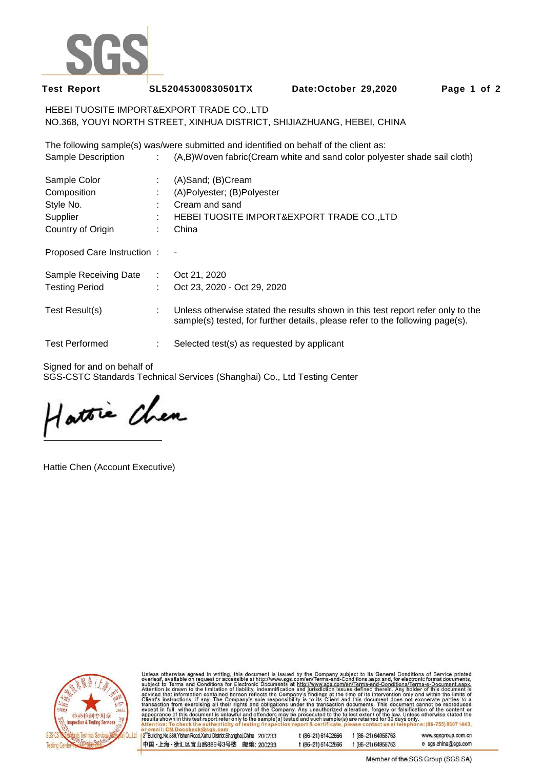

**Test Report SL52045300830501TX Date:October 29,2020 Page 1 of 2** 

HEBEI TUOSITE IMPORT&EXPORT TRADE CO.,LTD NO.368, YOUYI NORTH STREET, XINHUA DISTRICT, SHIJIAZHUANG, HEBEI, CHINA

The following sample(s) was/were submitted and identified on behalf of the client as: Sample Description : (A,B)Woven fabric(Cream white and sand color polyester shade sail cloth)

| Sample Color               | ÷ | (A)Sand; (B)Cream                                                                                                                                                |
|----------------------------|---|------------------------------------------------------------------------------------------------------------------------------------------------------------------|
| Composition                | ÷ | (A)Polyester; (B)Polyester                                                                                                                                       |
| Style No.                  | ÷ | Cream and sand                                                                                                                                                   |
| Supplier                   | ÷ | HEBEI TUOSITE IMPORT&EXPORT TRADE CO.,LTD                                                                                                                        |
| Country of Origin          |   | China                                                                                                                                                            |
| Proposed Care Instruction: |   |                                                                                                                                                                  |
| Sample Receiving Date :    |   | Oct 21, 2020                                                                                                                                                     |
| <b>Testing Period</b>      | ÷ | Oct 23, 2020 - Oct 29, 2020                                                                                                                                      |
| Test Result(s)             | ÷ | Unless otherwise stated the results shown in this test report refer only to the<br>sample(s) tested, for further details, please refer to the following page(s). |
| <b>Test Performed</b>      |   | Selected test(s) as requested by applicant                                                                                                                       |

Signed for and on behalf of

SGS-CSTC Standards Technical Services (Shanghai) Co., Ltd Testing Center

Hattie Chen

Hattie Chen (Account Executive)



Unless otherwise agreed in writing, this document is issued by the Company subject to its General Conditions of Service printed<br>overleaf, available on request or accessible at http://www.sgs.com/en/Terms-and-Conditions.asp

3<sup>rd</sup>Building, No.889, Yishan Road, Xuhui District Shanghai, China 200233 中国·上海·徐汇区宜山路889号3号楼 邮编: 200233 t (86-21) 61402666 f (86-21) 64958763 t (86-21) 61402666 f (86-21) 64958763

www.sgsgroup.com.cn e sgs.china@sgs.com